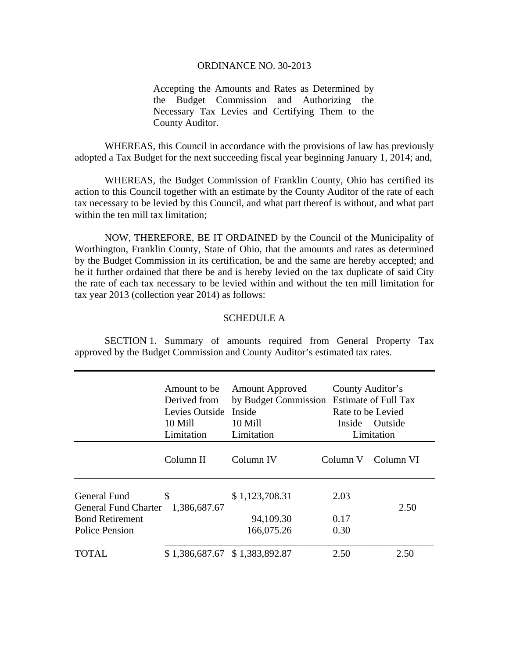## ORDINANCE NO. 30-2013

Accepting the Amounts and Rates as Determined by the Budget Commission and Authorizing the Necessary Tax Levies and Certifying Them to the County Auditor.

 WHEREAS, this Council in accordance with the provisions of law has previously adopted a Tax Budget for the next succeeding fiscal year beginning January 1, 2014; and,

 WHEREAS, the Budget Commission of Franklin County, Ohio has certified its action to this Council together with an estimate by the County Auditor of the rate of each tax necessary to be levied by this Council, and what part thereof is without, and what part within the ten mill tax limitation:

 NOW, THEREFORE, BE IT ORDAINED by the Council of the Municipality of Worthington, Franklin County, State of Ohio, that the amounts and rates as determined by the Budget Commission in its certification, be and the same are hereby accepted; and be it further ordained that there be and is hereby levied on the tax duplicate of said City the rate of each tax necessary to be levied within and without the ten mill limitation for tax year 2013 (collection year 2014) as follows:

## SCHEDULE A

 SECTION 1. Summary of amounts required from General Property Tax approved by the Budget Commission and County Auditor's estimated tax rates.

|                                                                                                | Amount to be<br>Derived from<br>Levies Outside<br>10 Mill<br>Limitation | <b>Amount Approved</b><br>by Budget Commission Estimate of Full Tax<br>Inside<br>10 Mill<br>Limitation | County Auditor's<br>Rate to be Levied<br>Inside | <b>Outside</b><br>Limitation |
|------------------------------------------------------------------------------------------------|-------------------------------------------------------------------------|--------------------------------------------------------------------------------------------------------|-------------------------------------------------|------------------------------|
|                                                                                                | Column II                                                               | Column IV                                                                                              | Column V                                        | Column VI                    |
| General Fund<br><b>General Fund Charter</b><br><b>Bond Retirement</b><br><b>Police Pension</b> | \$<br>1,386,687.67                                                      | \$1,123,708.31<br>94,109.30<br>166,075.26                                                              | 2.03<br>0.17<br>0.30                            | 2.50                         |
| TOTAL                                                                                          | \$1,386,687.67 \$1,383,892.87                                           |                                                                                                        | 2.50                                            | 2.50                         |